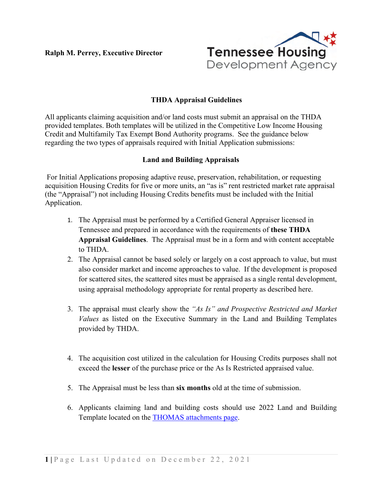**Ralph M. Perrey, Executive Director**



# **THDA Appraisal Guidelines**

All applicants claiming acquisition and/or land costs must submit an appraisal on the THDA provided templates. Both templates will be utilized in the Competitive Low Income Housing Credit and Multifamily Tax Exempt Bond Authority programs. See the guidance below regarding the two types of appraisals required with Initial Application submissions:

## **Land and Building Appraisals**

For Initial Applications proposing adaptive reuse, preservation, rehabilitation, or requesting acquisition Housing Credits for five or more units, an "as is" rent restricted market rate appraisal (the "Appraisal") not including Housing Credits benefits must be included with the Initial Application.

- 1. The Appraisal must be performed by a Certified General Appraiser licensed in Tennessee and prepared in accordance with the requirements of **these THDA Appraisal Guidelines**. The Appraisal must be in a form and with content acceptable to THDA.
- 2. The Appraisal cannot be based solely or largely on a cost approach to value, but must also consider market and income approaches to value. If the development is proposed for scattered sites, the scattered sites must be appraised as a single rental development, using appraisal methodology appropriate for rental property as described here.
- 3. The appraisal must clearly show the *"As Is" and Prospective Restricted and Market Values* as listed on the Executive Summary in the Land and Building Templates provided by THDA.
- 4. The acquisition cost utilized in the calculation for Housing Credits purposes shall not exceed the **lesser** of the purchase price or the As Is Restricted appraised value.
- 5. The Appraisal must be less than **six months** old at the time of submission.
- 6. Applicants claiming land and building costs should use 2022 Land and Building Template located on the **THOMAS** attachments page.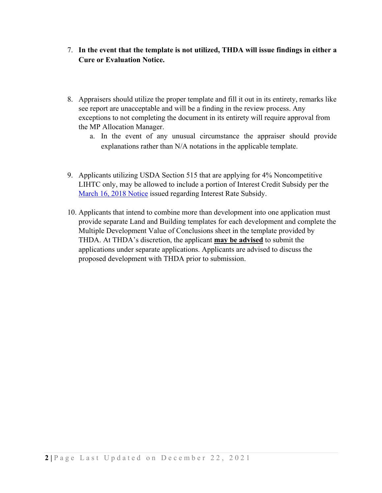- 7. **In the event that the template is not utilized, THDA will issue findings in either a Cure or Evaluation Notice.**
- 8. Appraisers should utilize the proper template and fill it out in its entirety, remarks like see report are unacceptable and will be a finding in the review process. Any exceptions to not completing the document in its entirety will require approval from the MP Allocation Manager.
	- a. In the event of any unusual circumstance the appraiser should provide explanations rather than N/A notations in the applicable template.
- 9. Applicants utilizing USDA Section 515 that are applying for 4% Noncompetitive LIHTC only, may be allowed to include a portion of Interest Credit Subsidy per the [March 16, 2018 Notice](https://s3.amazonaws.com/thda.org/Documents/Business-Partners/Multi-Family-Developers/Multi-Family-Tax-Exempt-Bonds/DRAFT-APPRAISAL-MEMO-FOR-SUBSIDY-VALUE-03.13.2018.pdf) issued regarding Interest Rate Subsidy.
- 10. Applicants that intend to combine more than development into one application must provide separate Land and Building templates for each development and complete the Multiple Development Value of Conclusions sheet in the template provided by THDA. At THDA's discretion, the applicant **may be advised** to submit the applications under separate applications. Applicants are advised to discuss the proposed development with THDA prior to submission.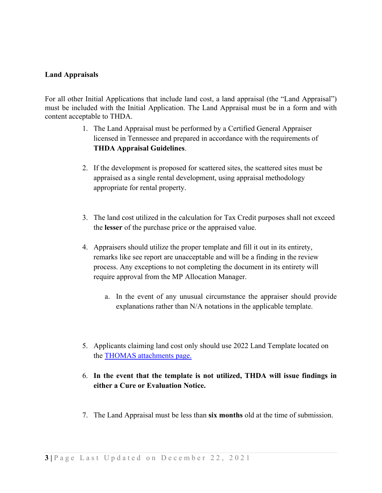### **Land Appraisals**

For all other Initial Applications that include land cost, a land appraisal (the "Land Appraisal") must be included with the Initial Application. The Land Appraisal must be in a form and with content acceptable to THDA.

- 1. The Land Appraisal must be performed by a Certified General Appraiser licensed in Tennessee and prepared in accordance with the requirements of **THDA Appraisal Guidelines**.
- 2. If the development is proposed for scattered sites, the scattered sites must be appraised as a single rental development, using appraisal methodology appropriate for rental property.
- 3. The land cost utilized in the calculation for Tax Credit purposes shall not exceed the **lesser** of the purchase price or the appraised value.
- 4. Appraisers should utilize the proper template and fill it out in its entirety, remarks like see report are unacceptable and will be a finding in the review process. Any exceptions to not completing the document in its entirety will require approval from the MP Allocation Manager.
	- a. In the event of any unusual circumstance the appraiser should provide explanations rather than N/A notations in the applicable template.
- 5. Applicants claiming land cost only should use 2022 Land Template located on the [THOMAS attachments page.](http://thda.org/business-partners/thomas)
- 6. **In the event that the template is not utilized, THDA will issue findings in either a Cure or Evaluation Notice.**
- 7. The Land Appraisal must be less than **six months** old at the time of submission.